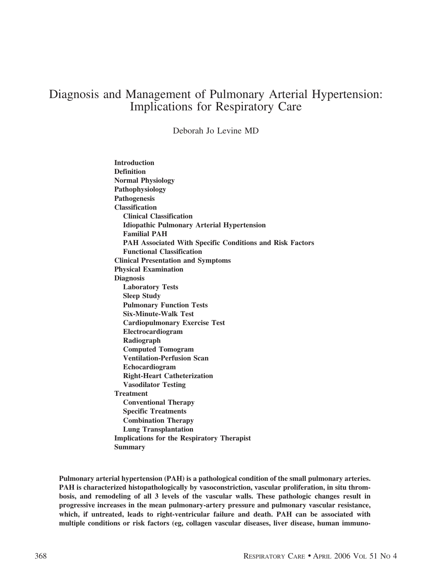# Diagnosis and Management of Pulmonary Arterial Hypertension: Implications for Respiratory Care

Deborah Jo Levine MD

**Introduction Definition Normal Physiology Pathophysiology Pathogenesis Classification Clinical Classification Idiopathic Pulmonary Arterial Hypertension Familial PAH PAH Associated With Specific Conditions and Risk Factors Functional Classification Clinical Presentation and Symptoms Physical Examination Diagnosis Laboratory Tests Sleep Study Pulmonary Function Tests Six-Minute-Walk Test Cardiopulmonary Exercise Test Electrocardiogram Radiograph Computed Tomogram Ventilation-Perfusion Scan Echocardiogram Right-Heart Catheterization Vasodilator Testing Treatment Conventional Therapy Specific Treatments Combination Therapy Lung Transplantation Implications for the Respiratory Therapist Summary**

**Pulmonary arterial hypertension (PAH) is a pathological condition of the small pulmonary arteries. PAH is characterized histopathologically by vasoconstriction, vascular proliferation, in situ thrombosis, and remodeling of all 3 levels of the vascular walls. These pathologic changes result in progressive increases in the mean pulmonary-artery pressure and pulmonary vascular resistance, which, if untreated, leads to right-ventricular failure and death. PAH can be associated with multiple conditions or risk factors (eg, collagen vascular diseases, liver disease, human immuno-**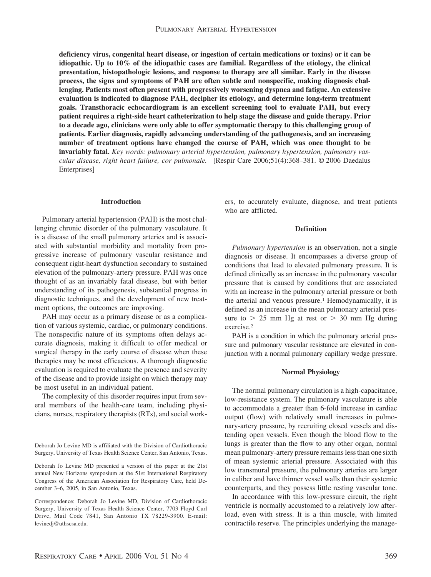**deficiency virus, congenital heart disease, or ingestion of certain medications or toxins) or it can be idiopathic. Up to 10% of the idiopathic cases are familial. Regardless of the etiology, the clinical presentation, histopathologic lesions, and response to therapy are all similar. Early in the disease process, the signs and symptoms of PAH are often subtle and nonspecific, making diagnosis challenging. Patients most often present with progressively worsening dyspnea and fatigue. An extensive evaluation is indicated to diagnose PAH, decipher its etiology, and determine long-term treatment goals. Transthoracic echocardiogram is an excellent screening tool to evaluate PAH, but every patient requires a right-side heart catheterization to help stage the disease and guide therapy. Prior to a decade ago, clinicians were only able to offer symptomatic therapy to this challenging group of patients. Earlier diagnosis, rapidly advancing understanding of the pathogenesis, and an increasing number of treatment options have changed the course of PAH, which was once thought to be invariably fatal.** *Key words: pulmonary arterial hypertension, pulmonary hypertension, pulmonary vascular disease, right heart failure, cor pulmonale.* [Respir Care 2006;51(4):368–381. © 2006 Daedalus Enterprises]

#### **Introduction**

Pulmonary arterial hypertension (PAH) is the most challenging chronic disorder of the pulmonary vasculature. It is a disease of the small pulmonary arteries and is associated with substantial morbidity and mortality from progressive increase of pulmonary vascular resistance and consequent right-heart dysfunction secondary to sustained elevation of the pulmonary-artery pressure. PAH was once thought of as an invariably fatal disease, but with better understanding of its pathogenesis, substantial progress in diagnostic techniques, and the development of new treatment options, the outcomes are improving.

PAH may occur as a primary disease or as a complication of various systemic, cardiac, or pulmonary conditions. The nonspecific nature of its symptoms often delays accurate diagnosis, making it difficult to offer medical or surgical therapy in the early course of disease when these therapies may be most efficacious. A thorough diagnostic evaluation is required to evaluate the presence and severity of the disease and to provide insight on which therapy may be most useful in an individual patient.

The complexity of this disorder requires input from several members of the health-care team, including physicians, nurses, respiratory therapists (RTs), and social workers, to accurately evaluate, diagnose, and treat patients who are afflicted.

## **Definition**

*Pulmonary hypertension* is an observation, not a single diagnosis or disease. It encompasses a diverse group of conditions that lead to elevated pulmonary pressure. It is defined clinically as an increase in the pulmonary vascular pressure that is caused by conditions that are associated with an increase in the pulmonary arterial pressure or both the arterial and venous pressure.<sup>1</sup> Hemodynamically, it is defined as an increase in the mean pulmonary arterial pressure to  $> 25$  mm Hg at rest or  $> 30$  mm Hg during exercise.2

PAH is a condition in which the pulmonary arterial pressure and pulmonary vascular resistance are elevated in conjunction with a normal pulmonary capillary wedge pressure.

#### **Normal Physiology**

The normal pulmonary circulation is a high-capacitance, low-resistance system. The pulmonary vasculature is able to accommodate a greater than 6-fold increase in cardiac output (flow) with relatively small increases in pulmonary-artery pressure, by recruiting closed vessels and distending open vessels. Even though the blood flow to the lungs is greater than the flow to any other organ, normal mean pulmonary-artery pressure remains less than one sixth of mean systemic arterial pressure. Associated with this low transmural pressure, the pulmonary arteries are larger in caliber and have thinner vessel walls than their systemic counterparts, and they possess little resting vascular tone.

In accordance with this low-pressure circuit, the right ventricle is normally accustomed to a relatively low afterload, even with stress. It is a thin muscle, with limited contractile reserve. The principles underlying the manage-

Deborah Jo Levine MD is affiliated with the Division of Cardiothoracic Surgery, University of Texas Health Science Center, San Antonio, Texas.

Deborah Jo Levine MD presented a version of this paper at the 21st annual New Horizons symposium at the 51st International Respiratory Congress of the American Association for Respiratory Care, held December 3–6, 2005, in San Antonio, Texas.

Correspondence: Deborah Jo Levine MD, Division of Cardiothoracic Surgery, University of Texas Health Science Center, 7703 Floyd Curl Drive, Mail Code 7841, San Antonio TX 78229-3900. E-mail: levinedj@uthscsa.edu.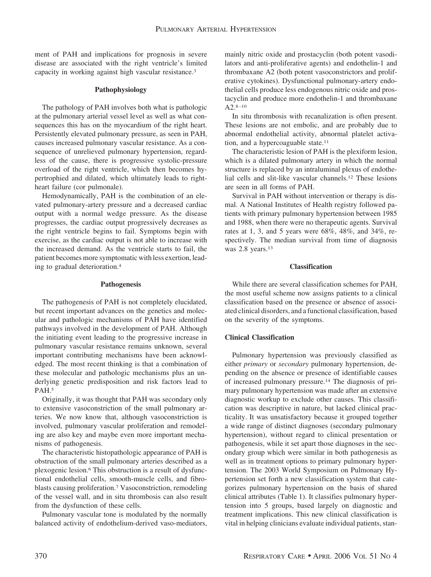ment of PAH and implications for prognosis in severe disease are associated with the right ventricle's limited capacity in working against high vascular resistance.<sup>3</sup>

## **Pathophysiology**

The pathology of PAH involves both what is pathologic at the pulmonary arterial vessel level as well as what consequences this has on the myocardium of the right heart. Persistently elevated pulmonary pressure, as seen in PAH, causes increased pulmonary vascular resistance. As a consequence of unrelieved pulmonary hypertension, regardless of the cause, there is progressive systolic-pressure overload of the right ventricle, which then becomes hypertrophied and dilated, which ultimately leads to rightheart failure (cor pulmonale).

Hemodynamically, PAH is the combination of an elevated pulmonary-artery pressure and a decreased cardiac output with a normal wedge pressure. As the disease progresses, the cardiac output progressively decreases as the right ventricle begins to fail. Symptoms begin with exercise, as the cardiac output is not able to increase with the increased demand. As the ventricle starts to fail, the patient becomes more symptomatic with less exertion, leading to gradual deterioration.4

#### **Pathogenesis**

The pathogenesis of PAH is not completely elucidated, but recent important advances on the genetics and molecular and pathologic mechanisms of PAH have identified pathways involved in the development of PAH. Although the initiating event leading to the progressive increase in pulmonary vascular resistance remains unknown, several important contributing mechanisms have been acknowledged. The most recent thinking is that a combination of these molecular and pathologic mechanisms plus an underlying genetic predisposition and risk factors lead to PAH.5

Originally, it was thought that PAH was secondary only to extensive vasoconstriction of the small pulmonary arteries. We now know that, although vasoconstriction is involved, pulmonary vascular proliferation and remodeling are also key and maybe even more important mechanisms of pathogenesis.

The characteristic histopathologic appearance of PAH is obstruction of the small pulmonary arteries described as a plexogenic lesion.6 This obstruction is a result of dysfunctional endothelial cells, smooth-muscle cells, and fibroblasts causing proliferation.7 Vasoconstriction, remodeling of the vessel wall, and in situ thrombosis can also result from the dysfunction of these cells.

Pulmonary vascular tone is modulated by the normally balanced activity of endothelium-derived vaso-mediators, mainly nitric oxide and prostacyclin (both potent vasodilators and anti-proliferative agents) and endothelin-1 and thrombaxane A2 (both potent vasoconstrictors and proliferative cytokines). Dysfunctional pulmonary-artery endothelial cells produce less endogenous nitric oxide and prostacyclin and produce more endothelin-1 and thrombaxane A2.8–10

In situ thrombosis with recanalization is often present. These lesions are not embolic, and are probably due to abnormal endothelial activity, abnormal platelet activation, and a hypercoaguable state.11

The characteristic lesion of PAH is the plexiform lesion, which is a dilated pulmonary artery in which the normal structure is replaced by an intraluminal plexus of endothelial cells and slit-like vascular channels.12 These lesions are seen in all forms of PAH.

Survival in PAH without intervention or therapy is dismal. A National Institutes of Health registry followed patients with primary pulmonary hypertension between 1985 and 1988, when there were no therapeutic agents. Survival rates at 1, 3, and 5 years were 68%, 48%, and 34%, respectively. The median survival from time of diagnosis was 2.8 years.<sup>13</sup>

## **Classification**

While there are several classification schemes for PAH, the most useful scheme now assigns patients to a clinical classification based on the presence or absence of associated clinical disorders, and a functional classification, based on the severity of the symptoms.

## **Clinical Classification**

Pulmonary hypertension was previously classified as either *primary* or *secondary* pulmonary hypertension, depending on the absence or presence of identifiable causes of increased pulmonary pressure.14 The diagnosis of primary pulmonary hypertension was made after an extensive diagnostic workup to exclude other causes. This classification was descriptive in nature, but lacked clinical practicality. It was unsatisfactory because it grouped together a wide range of distinct diagnoses (secondary pulmonary hypertension), without regard to clinical presentation or pathogenesis, while it set apart those diagnoses in the secondary group which were similar in both pathogenesis as well as in treatment options to primary pulmonary hypertension. The 2003 World Symposium on Pulmonary Hypertension set forth a new classification system that categorizes pulmonary hypertension on the basis of shared clinical attributes (Table 1). It classifies pulmonary hypertension into 5 groups, based largely on diagnostic and treatment implications. This new clinical classification is vital in helping clinicians evaluate individual patients, stan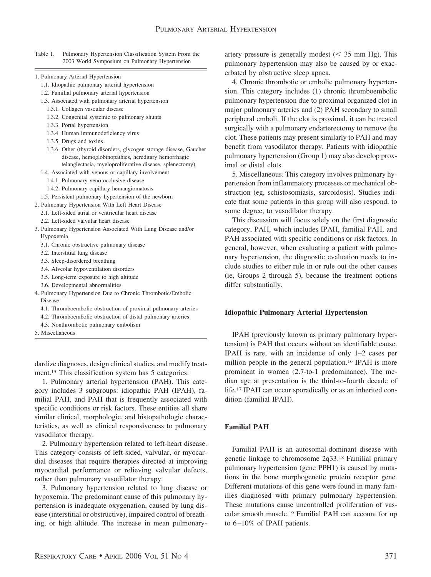Table 1. Pulmonary Hypertension Classification System From the 2003 World Symposium on Pulmonary Hypertension

- 1. Pulmonary Arterial Hypertension
	- 1.1. Idiopathic pulmonary arterial hypertension
	- 1.2. Familial pulmonary arterial hypertension
	- 1.3. Associated with pulmonary arterial hypertension
		- 1.3.1. Collagen vascular disease
	- 1.3.2. Congenital systemic to pulmonary shunts
	- 1.3.3. Portal hypertension
	- 1.3.4. Human immunodeficiency virus
	- 1.3.5. Drugs and toxins
	- 1.3.6. Other (thyroid disorders, glycogen storage disease, Gaucher disease, hemoglobinopathies, hereditary hemorrhagic telangiectasia, myeloproliferative disease, splenectomy)
	- 1.4. Associated with venous or capillary involvement
		- 1.4.1. Pulmonary veno-occlusive disease
		- 1.4.2. Pulmonary capillary hemangiomatosis
	- 1.5. Persistent pulmonary hypertension of the newborn
- 2. Pulmonary Hypertension With Left Heart Disease
	- 2.1. Left-sided atrial or ventricular heart disease
	- 2.2. Left-sided valvular heart disease
- 3. Pulmonary Hypertension Associated With Lung Disease and/or Hypoxemia
	- 3.1. Chronic obstructive pulmonary disease
	- 3.2. Interstitial lung disease
	- 3.3. Sleep-disordered breathing
	- 3.4. Alveolar hypoventilation disorders
	- 3.5. Long-term exposure to high altitude
	- 3.6. Developmental abnormalities
- 4. Pulmonary Hypertension Due to Chronic Thrombotic/Embolic Disease
	- 4.1. Thromboembolic obstruction of proximal pulmonary arteries
	- 4.2. Thromboembolic obstruction of distal pulmonary arteries
	- 4.3. Nonthrombotic pulmonary embolism
- 5. Miscellaneous

dardize diagnoses, design clinical studies, and modify treatment.<sup>15</sup> This classification system has 5 categories:

1. Pulmonary arterial hypertension (PAH). This category includes 3 subgroups: idiopathic PAH (IPAH), familial PAH, and PAH that is frequently associated with specific conditions or risk factors. These entities all share similar clinical, morphologic, and histopathologic characteristics, as well as clinical responsiveness to pulmonary vasodilator therapy.

2. Pulmonary hypertension related to left-heart disease. This category consists of left-sided, valvular, or myocardial diseases that require therapies directed at improving myocardial performance or relieving valvular defects, rather than pulmonary vasodilator therapy.

3. Pulmonary hypertension related to lung disease or hypoxemia. The predominant cause of this pulmonary hypertension is inadequate oxygenation, caused by lung disease (interstitial or obstructive), impaired control of breathing, or high altitude. The increase in mean pulmonary-

artery pressure is generally modest  $(< 35$  mm Hg). This pulmonary hypertension may also be caused by or exacerbated by obstructive sleep apnea.

4. Chronic thrombotic or embolic pulmonary hypertension. This category includes (1) chronic thromboembolic pulmonary hypertension due to proximal organized clot in major pulmonary arteries and (2) PAH secondary to small peripheral emboli. If the clot is proximal, it can be treated surgically with a pulmonary endarterectomy to remove the clot. These patients may present similarly to PAH and may benefit from vasodilator therapy. Patients with idiopathic pulmonary hypertension (Group 1) may also develop proximal or distal clots.

5. Miscellaneous. This category involves pulmonary hypertension from inflammatory processes or mechanical obstruction (eg, schistosomiasis, sarcoidosis). Studies indicate that some patients in this group will also respond, to some degree, to vasodilator therapy.

This discussion will focus solely on the first diagnostic category, PAH, which includes IPAH, familial PAH, and PAH associated with specific conditions or risk factors. In general, however, when evaluating a patient with pulmonary hypertension, the diagnostic evaluation needs to include studies to either rule in or rule out the other causes (ie, Groups 2 through 5), because the treatment options differ substantially.

#### **Idiopathic Pulmonary Arterial Hypertension**

IPAH (previously known as primary pulmonary hypertension) is PAH that occurs without an identifiable cause. IPAH is rare, with an incidence of only 1–2 cases per million people in the general population.16 IPAH is more prominent in women (2.7-to-1 predominance). The median age at presentation is the third-to-fourth decade of life.17 IPAH can occur sporadically or as an inherited condition (familial IPAH).

#### **Familial PAH**

Familial PAH is an autosomal-dominant disease with genetic linkage to chromosome 2q33.18 Familial primary pulmonary hypertension (gene PPH1) is caused by mutations in the bone morphogenetic protein receptor gene. Different mutations of this gene were found in many families diagnosed with primary pulmonary hypertension. These mutations cause uncontrolled proliferation of vascular smooth muscle.19 Familial PAH can account for up to 6–10% of IPAH patients.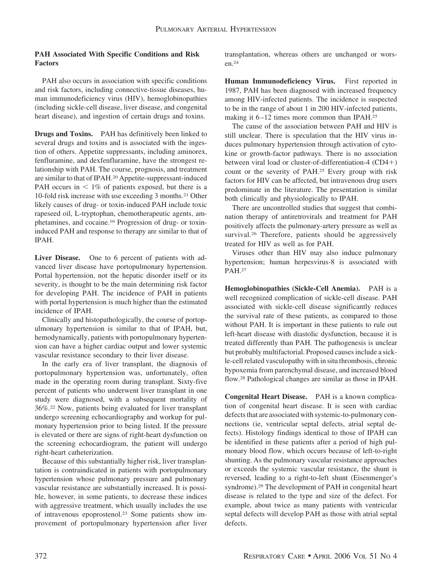# **PAH Associated With Specific Conditions and Risk Factors**

PAH also occurs in association with specific conditions and risk factors, including connective-tissue diseases, human immunodeficiency virus (HIV), hemoglobinopathies (including sickle-cell disease, liver disease, and congenital heart disease), and ingestion of certain drugs and toxins.

**Drugs and Toxins.** PAH has definitively been linked to several drugs and toxins and is associated with the ingestion of others. Appetite suppressants, including aminorex, fenfluramine, and dexfenfluramine, have the strongest relationship with PAH. The course, prognosis, and treatment are similar to that of IPAH.20 Appetite-suppressant-induced PAH occurs in  $\leq 1\%$  of patients exposed, but there is a 10-fold risk increase with use exceeding 3 months.21 Other likely causes of drug- or toxin-induced PAH include toxic rapeseed oil, L-tryptophan, chemotherapeutic agents, amphetamines, and cocaine.16 Progression of drug- or toxininduced PAH and response to therapy are similar to that of IPAH.

Liver Disease. One to 6 percent of patients with advanced liver disease have portopulmonary hypertension. Portal hypertension, not the hepatic disorder itself or its severity, is thought to be the main determining risk factor for developing PAH. The incidence of PAH in patients with portal hypertension is much higher than the estimated incidence of IPAH.

Clinically and histopathologically, the course of portopulmonary hypertension is similar to that of IPAH, but, hemodynamically, patients with portopulmonary hypertension can have a higher cardiac output and lower systemic vascular resistance secondary to their liver disease.

In the early era of liver transplant, the diagnosis of portopulmonary hypertension was, unfortunately, often made in the operating room during transplant. Sixty-five percent of patients who underwent liver transplant in one study were diagnosed, with a subsequent mortality of 36%.22 Now, patients being evaluated for liver transplant undergo screening echocardiography and workup for pulmonary hypertension prior to being listed. If the pressure is elevated or there are signs of right-heart dysfunction on the screening echocardiogram, the patient will undergo right-heart catheterization.

Because of this substantially higher risk, liver transplantation is contraindicated in patients with portopulmonary hypertension whose pulmonary pressure and pulmonary vascular resistance are substantially increased. It is possible, however, in some patients, to decrease these indices with aggressive treatment, which usually includes the use of intravenous epoprostenol.23 Some patients show improvement of portopulmonary hypertension after liver transplantation, whereas others are unchanged or worsen.24

**Human Immunodeficiency Virus.** First reported in 1987, PAH has been diagnosed with increased frequency among HIV-infected patients. The incidence is suspected to be in the range of about 1 in 200 HIV-infected patients, making it 6–12 times more common than IPAH.25

The cause of the association between PAH and HIV is still unclear. There is speculation that the HIV virus induces pulmonary hypertension through activation of cytokine or growth-factor pathways. There is no association between viral load or cluster-of-differentiation-4  $(CD4+)$ count or the severity of PAH.25 Every group with risk factors for HIV can be affected, but intravenous drug users predominate in the literature. The presentation is similar both clinically and physiologically to IPAH.

There are uncontrolled studies that suggest that combination therapy of antiretrovirals and treatment for PAH positively affects the pulmonary-artery pressure as well as survival.<sup>26</sup> Therefore, patients should be aggressively treated for HIV as well as for PAH.

Viruses other than HIV may also induce pulmonary hypertension; human herpesvirus-8 is associated with PAH.27

**Hemoglobinopathies (Sickle-Cell Anemia).** PAH is a well recognized complication of sickle-cell disease. PAH associated with sickle-cell disease significantly reduces the survival rate of these patients, as compared to those without PAH. It is important in these patients to rule out left-heart disease with diastolic dysfunction, because it is treated differently than PAH. The pathogenesis is unclear but probably multifactorial. Proposed causes include a sickle-cell related vasculopathy with in situ thrombosis, chronic hypoxemia from parenchymal disease, and increased blood flow.28 Pathological changes are similar as those in IPAH.

**Congenital Heart Disease.** PAH is a known complication of congenital heart disease. It is seen with cardiac defects that are associated with systemic-to-pulmonary connections (ie, ventricular septal defects, atrial septal defects). Histology findings identical to those of IPAH can be identified in these patients after a period of high pulmonary blood flow, which occurs because of left-to-right shunting. As the pulmonary vascular resistance approaches or exceeds the systemic vascular resistance, the shunt is reversed, leading to a right-to-left shunt (Eisenmenger's syndrome).29 The development of PAH in congenital heart disease is related to the type and size of the defect. For example, about twice as many patients with ventricular septal defects will develop PAH as those with atrial septal defects.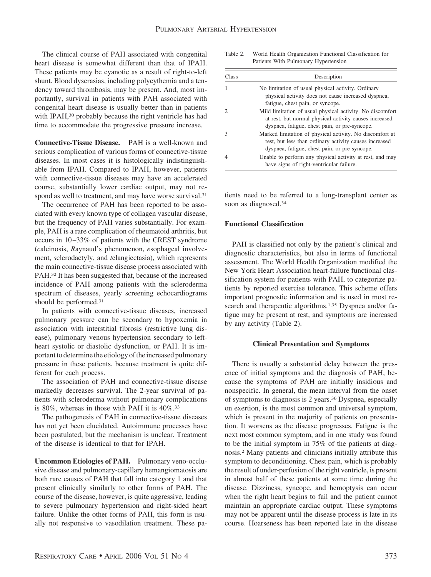The clinical course of PAH associated with congenital heart disease is somewhat different than that of IPAH. These patients may be cyanotic as a result of right-to-left shunt. Blood dyscrasias, including polycythemia and a tendency toward thrombosis, may be present. And, most importantly, survival in patients with PAH associated with congenital heart disease is usually better than in patients with IPAH,<sup>30</sup> probably because the right ventricle has had time to accommodate the progressive pressure increase.

**Connective-Tissue Disease.** PAH is a well-known and serious complication of various forms of connective-tissue diseases. In most cases it is histologically indistinguishable from IPAH. Compared to IPAH, however, patients with connective-tissue diseases may have an accelerated course, substantially lower cardiac output, may not respond as well to treatment, and may have worse survival.<sup>31</sup>

The occurrence of PAH has been reported to be associated with every known type of collagen vascular disease, but the frequency of PAH varies substantially. For example, PAH is a rare complication of rheumatoid arthritis, but occurs in 10–33% of patients with the CREST syndrome (*c*alcinosis, *R*aynaud's phenomenon, *e*sophageal involvement, *s*clerodactyly, and *t*elangiectasia), which represents the main connective-tissue disease process associated with PAH.32 It has been suggested that, because of the increased incidence of PAH among patients with the scleroderma spectrum of diseases, yearly screening echocardiograms should be performed.31

In patients with connective-tissue diseases, increased pulmonary pressure can be secondary to hypoxemia in association with interstitial fibrosis (restrictive lung disease), pulmonary venous hypertension secondary to leftheart systolic or diastolic dysfunction, or PAH. It is important to determine the etiology of the increased pulmonary pressure in these patients, because treatment is quite different for each process.

The association of PAH and connective-tissue disease markedly decreases survival. The 2-year survival of patients with scleroderma without pulmonary complications is 80%, whereas in those with PAH it is 40%.33

The pathogenesis of PAH in connective-tissue diseases has not yet been elucidated. Autoimmune processes have been postulated, but the mechanism is unclear. Treatment of the disease is identical to that for IPAH.

**Uncommon Etiologies of PAH.** Pulmonary veno-occlusive disease and pulmonary-capillary hemangiomatosis are both rare causes of PAH that fall into category 1 and that present clinically similarly to other forms of PAH. The course of the disease, however, is quite aggressive, leading to severe pulmonary hypertension and right-sided heart failure. Unlike the other forms of PAH, this form is usually not responsive to vasodilation treatment. These pa-

Table 2. World Health Organization Functional Classification for Patients With Pulmonary Hypertension

| Class | Description                                                                                                                                                          |
|-------|----------------------------------------------------------------------------------------------------------------------------------------------------------------------|
|       | No limitation of usual physical activity. Ordinary<br>physical activity does not cause increased dyspnea,<br>fatigue, chest pain, or syncope.                        |
|       | Mild limitation of usual physical activity. No discomfort<br>at rest, but normal physical activity causes increased<br>dyspnea, fatigue, chest pain, or pre-syncope. |
|       | Marked limitation of physical activity. No discomfort at<br>rest, but less than ordinary activity causes increased<br>dyspnea, fatigue, chest pain, or pre-syncope.  |
|       | Unable to perform any physical activity at rest, and may<br>have signs of right-ventricular failure.                                                                 |

tients need to be referred to a lung-transplant center as soon as diagnosed.34

## **Functional Classification**

PAH is classified not only by the patient's clinical and diagnostic characteristics, but also in terms of functional assessment. The World Health Organization modified the New York Heart Association heart-failure functional classification system for patients with PAH, to categorize patients by reported exercise tolerance. This scheme offers important prognostic information and is used in most research and therapeutic algorithms.<sup>1,35</sup> Dyspnea and/or fatigue may be present at rest, and symptoms are increased by any activity (Table 2).

#### **Clinical Presentation and Symptoms**

There is usually a substantial delay between the presence of initial symptoms and the diagnosis of PAH, because the symptoms of PAH are initially insidious and nonspecific. In general, the mean interval from the onset of symptoms to diagnosis is 2 years.36 Dyspnea, especially on exertion, is the most common and universal symptom, which is present in the majority of patients on presentation. It worsens as the disease progresses. Fatigue is the next most common symptom, and in one study was found to be the initial symptom in 75% of the patients at diagnosis.2 Many patients and clinicians initially attribute this symptom to deconditioning. Chest pain, which is probably the result of under-perfusion of the right ventricle, is present in almost half of these patients at some time during the disease. Dizziness, syncope, and hemoptysis can occur when the right heart begins to fail and the patient cannot maintain an appropriate cardiac output. These symptoms may not be apparent until the disease process is late in its course. Hoarseness has been reported late in the disease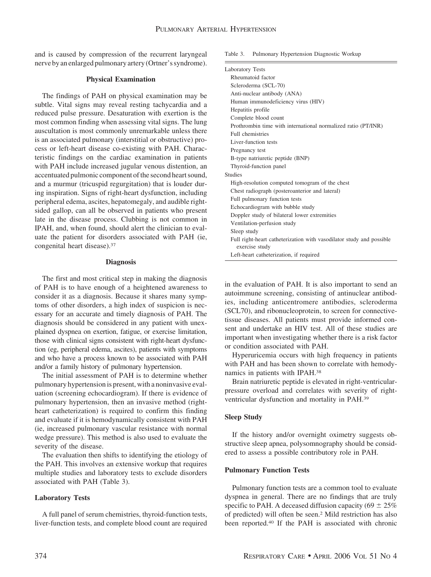and is caused by compression of the recurrent laryngeal nerve by an enlarged pulmonary artery (Ortner's syndrome).

#### **Physical Examination**

The findings of PAH on physical examination may be subtle. Vital signs may reveal resting tachycardia and a reduced pulse pressure. Desaturation with exertion is the most common finding when assessing vital signs. The lung auscultation is most commonly unremarkable unless there is an associated pulmonary (interstitial or obstructive) process or left-heart disease co-existing with PAH. Characteristic findings on the cardiac examination in patients with PAH include increased jugular venous distention, an accentuated pulmonic component of the second heart sound, and a murmur (tricuspid regurgitation) that is louder during inspiration. Signs of right-heart dysfunction, including peripheral edema, ascites, hepatomegaly, and audible rightsided gallop, can all be observed in patients who present late in the disease process. Clubbing is not common in IPAH, and, when found, should alert the clinician to evaluate the patient for disorders associated with PAH (ie, congenital heart disease).37

#### **Diagnosis**

The first and most critical step in making the diagnosis of PAH is to have enough of a heightened awareness to consider it as a diagnosis. Because it shares many symptoms of other disorders, a high index of suspicion is necessary for an accurate and timely diagnosis of PAH. The diagnosis should be considered in any patient with unexplained dyspnea on exertion, fatigue, or exercise limitation, those with clinical signs consistent with right-heart dysfunction (eg, peripheral edema, ascites), patients with symptoms and who have a process known to be associated with PAH and/or a family history of pulmonary hypertension.

The initial assessment of PAH is to determine whether pulmonary hypertension is present, with a noninvasive evaluation (screening echocardiogram). If there is evidence of pulmonary hypertension, then an invasive method (rightheart catheterization) is required to confirm this finding and evaluate if it is hemodynamically consistent with PAH (ie, increased pulmonary vascular resistance with normal wedge pressure). This method is also used to evaluate the severity of the disease.

The evaluation then shifts to identifying the etiology of the PAH. This involves an extensive workup that requires multiple studies and laboratory tests to exclude disorders associated with PAH (Table 3).

# **Laboratory Tests**

A full panel of serum chemistries, thyroid-function tests, liver-function tests, and complete blood count are required Table 3. Pulmonary Hypertension Diagnostic Workup

| <b>Laboratory Tests</b>                                                                |  |
|----------------------------------------------------------------------------------------|--|
| Rheumatoid factor                                                                      |  |
| Scleroderma (SCL-70)                                                                   |  |
| Anti-nuclear antibody (ANA)                                                            |  |
| Human immunodeficiency virus (HIV)                                                     |  |
| Hepatitis profile                                                                      |  |
| Complete blood count                                                                   |  |
| Prothrombin time with international normalized ratio (PT/INR)                          |  |
| Full chemistries                                                                       |  |
| Liver-function tests                                                                   |  |
| Pregnancy test                                                                         |  |
| B-type natriuretic peptide (BNP)                                                       |  |
| Thyroid-function panel                                                                 |  |
| <b>Studies</b>                                                                         |  |
| High-resolution computed tomogram of the chest                                         |  |
| Chest radiograph (posteroanterior and lateral)                                         |  |
| Full pulmonary function tests                                                          |  |
| Echocardiogram with bubble study                                                       |  |
| Doppler study of bilateral lower extremities                                           |  |
| Ventilation-perfusion study                                                            |  |
| Sleep study                                                                            |  |
| Full right-heart catheterization with vasodilator study and possible<br>exercise study |  |
| Left-heart catheterization, if required                                                |  |

in the evaluation of PAH. It is also important to send an autoimmune screening, consisting of antinuclear antibodies, including anticentromere antibodies, scleroderma (SCL70), and ribonucleoprotein, to screen for connectivetissue diseases. All patients must provide informed consent and undertake an HIV test. All of these studies are important when investigating whether there is a risk factor or condition associated with PAH.

Hyperuricemia occurs with high frequency in patients with PAH and has been shown to correlate with hemodynamics in patients with IPAH.38

Brain natriuretic peptide is elevated in right-ventricularpressure overload and correlates with severity of rightventricular dysfunction and mortality in PAH.39

# **Sleep Study**

If the history and/or overnight oximetry suggests obstructive sleep apnea, polysomnography should be considered to assess a possible contributory role in PAH.

### **Pulmonary Function Tests**

Pulmonary function tests are a common tool to evaluate dyspnea in general. There are no findings that are truly specific to PAH. A deceased diffusion capacity (69  $\pm$  25%) of predicted) will often be seen.2 Mild restriction has also been reported.40 If the PAH is associated with chronic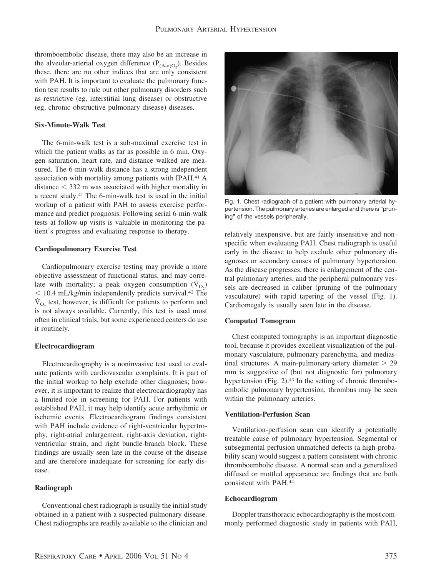thromboembolic disease, there may also be an increase in the alveolar-arterial oxygen difference  $(P_{(A-a)O_2})$ . Besides these, there are no other indices that are only consistent with PAH. It is important to evaluate the pulmonary function test results to rule out other pulmonary disorders such as restrictive (eg, interstitial lung disease) or obstructive (eg, chronic obstructive pulmonary disease) diseases.

## **Six-Minute-Walk Test**

The 6-min-walk test is a sub-maximal exercise test in which the patient walks as far as possible in 6 min. Oxygen saturation, heart rate, and distance walked are measured. The 6-min-walk distance has a strong independent association with mortality among patients with IPAH.41 A  $distance < 332$  m was associated with higher mortality in a recent study.41 The 6-min-walk test is used in the initial workup of a patient with PAH to assess exercise performance and predict prognosis. Following serial 6-min-walk tests at follow-up visits is valuable in monitoring the patient's progress and evaluating response to therapy.

#### **Cardiopulmonary Exercise Test**

Cardiopulmonary exercise testing may provide a more objective assessment of functional status, and may correlate with mortality; a peak oxygen consumption  $(\dot{V}_{O_2})$ - 10.4 mL/kg/min independently predicts survival.42 The  $V<sub>O<sub>2</sub></sub>$  test, however, is difficult for patients to perform and is not always available. Currently, this test is used most often in clinical trials, but some experienced centers do use it routinely.

#### **Electrocardiogram**

Electrocardiography is a noninvasive test used to evaluate patients with cardiovascular complaints. It is part of the initial workup to help exclude other diagnoses; however, it is important to realize that electrocardiography has a limited role in screening for PAH. For patients with established PAH, it may help identify acute arrhythmic or ischemic events. Electrocardiogram findings consistent with PAH include evidence of right-ventricular hypertrophy, right-atrial enlargement, right-axis deviation, rightventricular strain, and right bundle-branch block. These findings are usually seen late in the course of the disease and are therefore inadequate for screening for early disease.

## **Radiograph**

Conventional chest radiograph is usually the initial study obtained in a patient with a suspected pulmonary disease. Chest radiographs are readily available to the clinician and



Fig. 1. Chest radiograph of a patient with pulmonary arterial hypertension. The pulmonary arteries are enlarged and there is "pruning" of the vessels peripherally.

relatively inexpensive, but are fairly insensitive and nonspecific when evaluating PAH. Chest radiograph is useful early in the disease to help exclude other pulmonary diagnoses or secondary causes of pulmonary hypertension. As the disease progresses, there is enlargement of the central pulmonary arteries, and the peripheral pulmonary vessels are decreased in caliber (pruning of the pulmonary vasculature) with rapid tapering of the vessel (Fig. 1). Cardiomegaly is usually seen late in the disease.

#### **Computed Tomogram**

Chest computed tomography is an important diagnostic tool, because it provides excellent visualization of the pulmonary vasculature, pulmonary parenchyma, and mediastinal structures. A main-pulmonary-artery diameter  $> 29$ mm is suggestive of (but not diagnostic for) pulmonary hypertension (Fig. 2).43 In the setting of chronic thromboembolic pulmonary hypertension, thrombus may be seen within the pulmonary arteries.

## **Ventilation-Perfusion Scan**

Ventilation-perfusion scan can identify a potentially treatable cause of pulmonary hypertension. Segmental or subsegmental perfusion unmatched defects (a high-probability scan) would suggest a pattern consistent with chronic thromboembolic disease. A normal scan and a generalized diffused or mottled appearance are findings that are both consistent with PAH.44

#### **Echocardiogram**

Doppler transthoracic echocardiography is the most commonly performed diagnostic study in patients with PAH,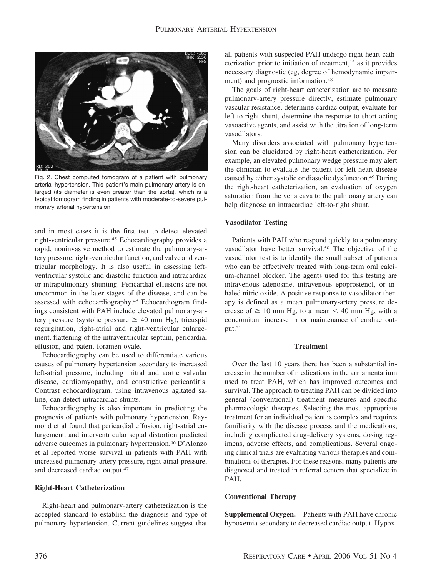

Fig. 2. Chest computed tomogram of a patient with pulmonary arterial hypertension. This patient's main pulmonary artery is enlarged (its diameter is even greater than the aorta), which is a typical tomogram finding in patients with moderate-to-severe pulmonary arterial hypertension.

and in most cases it is the first test to detect elevated right-ventricular pressure.45 Echocardiography provides a rapid, noninvasive method to estimate the pulmonary-artery pressure, right-ventricular function, and valve and ventricular morphology. It is also useful in assessing leftventricular systolic and diastolic function and intracardiac or intrapulmonary shunting. Pericardial effusions are not uncommon in the later stages of the disease, and can be assessed with echocardiography.46 Echocardiogram findings consistent with PAH include elevated pulmonary-artery pressure (systolic pressure  $\geq 40$  mm Hg), tricuspid regurgitation, right-atrial and right-ventricular enlargement, flattening of the intraventricular septum, pericardial effusion, and patent foramen ovale.

Echocardiography can be used to differentiate various causes of pulmonary hypertension secondary to increased left-atrial pressure, including mitral and aortic valvular disease, cardiomyopathy, and constrictive pericarditis. Contrast echocardiogram, using intravenous agitated saline, can detect intracardiac shunts.

Echocardiography is also important in predicting the prognosis of patients with pulmonary hypertension. Raymond et al found that pericardial effusion, right-atrial enlargement, and interventricular septal distortion predicted adverse outcomes in pulmonary hypertension.46 D'Alonzo et al reported worse survival in patients with PAH with increased pulmonary-artery pressure, right-atrial pressure, and decreased cardiac output.47

### **Right-Heart Catheterization**

Right-heart and pulmonary-artery catheterization is the accepted standard to establish the diagnosis and type of pulmonary hypertension. Current guidelines suggest that all patients with suspected PAH undergo right-heart catheterization prior to initiation of treatment,15 as it provides necessary diagnostic (eg, degree of hemodynamic impairment) and prognostic information.48

The goals of right-heart catheterization are to measure pulmonary-artery pressure directly, estimate pulmonary vascular resistance, determine cardiac output, evaluate for left-to-right shunt, determine the response to short-acting vasoactive agents, and assist with the titration of long-term vasodilators.

Many disorders associated with pulmonary hypertension can be elucidated by right-heart catheterization. For example, an elevated pulmonary wedge pressure may alert the clinician to evaluate the patient for left-heart disease caused by either systolic or diastolic dysfunction.49 During the right-heart catheterization, an evaluation of oxygen saturation from the vena cava to the pulmonary artery can help diagnose an intracardiac left-to-right shunt.

#### **Vasodilator Testing**

Patients with PAH who respond quickly to a pulmonary vasodilator have better survival.50 The objective of the vasodilator test is to identify the small subset of patients who can be effectively treated with long-term oral calcium-channel blocker. The agents used for this testing are intravenous adenosine, intravenous epoprostenol, or inhaled nitric oxide. A positive response to vasodilator therapy is defined as a mean pulmonary-artery pressure decrease of  $\geq 10$  mm Hg, to a mean  $\leq 40$  mm Hg, with a concomitant increase in or maintenance of cardiac output.51

#### **Treatment**

Over the last 10 years there has been a substantial increase in the number of medications in the armamentarium used to treat PAH, which has improved outcomes and survival. The approach to treating PAH can be divided into general (conventional) treatment measures and specific pharmacologic therapies. Selecting the most appropriate treatment for an individual patient is complex and requires familiarity with the disease process and the medications, including complicated drug-delivery systems, dosing regimens, adverse effects, and complications. Several ongoing clinical trials are evaluating various therapies and combinations of therapies. For these reasons, many patients are diagnosed and treated in referral centers that specialize in PAH.

## **Conventional Therapy**

**Supplemental Oxygen.** Patients with PAH have chronic hypoxemia secondary to decreased cardiac output. Hypox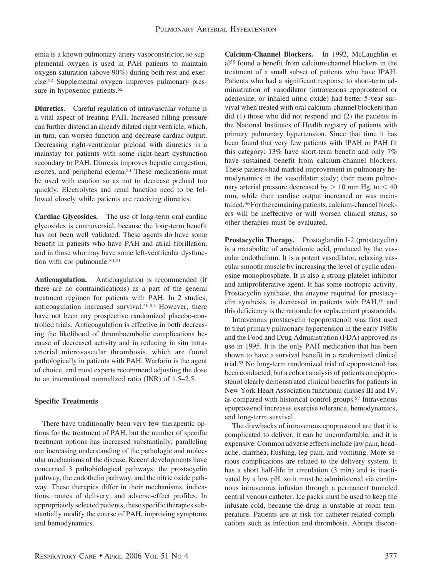emia is a known pulmonary-artery vasoconstrictor, so supplemental oxygen is used in PAH patients to maintain oxygen saturation (above 90%) during both rest and exercise.52 Supplemental oxygen improves pulmonary pressure in hypoxemic patients.<sup>52</sup>

**Diuretics.** Careful regulation of intravascular volume is a vital aspect of treating PAH. Increased filling pressure can further distend an already dilated right ventricle, which, in turn, can worsen function and decrease cardiac output. Decreasing right-ventricular preload with diuretics is a mainstay for patients with some right-heart dysfunction secondary to PAH. Diuresis improves hepatic congestion, ascites, and peripheral edema.53 These medications must be used with caution so as not to decrease preload too quickly. Electrolytes and renal function need to be followed closely while patients are receiving diuretics.

**Cardiac Glycosides.** The use of long-term oral cardiac glycosides is controversial, because the long-term benefit has not been well validated. These agents do have some benefit in patients who have PAH and atrial fibrillation, and in those who may have some left-ventricular dysfunction with cor pulmonale.<sup>50,51</sup>

**Anticoagulation.** Anticoagulation is recommended (if there are no contraindications) as a part of the general treatment regimen for patients with PAH. In 2 studies, anticoagulation increased survival.50,54 However, there have not been any prospective randomized placebo-controlled trials. Anticoagulation is effective in both decreasing the likelihood of thromboembolic complications because of decreased activity and in reducing in situ intraarterial microvascular thrombosis, which are found pathologically in patients with PAH. Warfarin is the agent of choice, and most experts recommend adjusting the dose to an international normalized ratio (INR) of 1.5–2.5.

# **Specific Treatments**

There have traditionally been very few therapeutic options for the treatment of PAH, but the number of specific treatment options has increased substantially, paralleling our increasing understanding of the pathologic and molecular mechanisms of the disease. Recent developments have concerned 3 pathobiological pathways: the prostacyclin pathway, the endothelin pathway, and the nitric oxide pathway. These therapies differ in their mechanisms, indications, routes of delivery, and adverse-effect profiles. In appropriately selected patients, these specific therapies substantially modify the course of PAH, improving symptoms and hemodynamics.

**Calcium-Channel Blockers.** In 1992, McLaughlin et al55 found a benefit from calcium-channel blockers in the treatment of a small subset of patients who have IPAH. Patients who had a significant response to short-term administration of vasodilator (intravenous epoprostenol or adenosine, or inhaled nitric oxide) had better 5-year survival when treated with oral calcium-channel blockers than did (1) those who did not respond and (2) the patients in the National Institutes of Health registry of patients with primary pulmonary hypertension. Since that time it has been found that very few patients with IPAH or PAH fit this category: 13% have short-term benefit and only 7% have sustained benefit from calcium-channel blockers. These patients had marked improvement in pulmonary hemodynamics in the vasodilator study; their mean pulmonary arterial pressure decreased by  $> 10$  mm Hg, to  $< 40$ mm, while their cardiac output increased or was maintained.<sup>56</sup> For the remaining patients, calcium-channel blockers will be ineffective or will worsen clinical status, so other therapies must be evaluated.

**Prostacyclin Therapy.** Prostaglandin I-2 (prostacyclin) is a metabolite of arachidonic acid, produced by the vascular endothelium. It is a potent vasodilator, relaxing vascular smooth muscle by increasing the level of cyclic adenosine monophosphate. It is also a strong platelet inhibitor and antiproliferative agent. It has some inotropic activity. Prostacyclin synthase, the enzyme required for prostacyclin synthesis, is decreased in patients with PAH,10 and this deficiency is the rationale for replacement prostanoids.

Intravenous prostacyclin (epoprostenol) was first used to treat primary pulmonary hypertension in the early 1980s and the Food and Drug Administration (FDA) approved its use in 1995. It is the only PAH medication that has been shown to have a survival benefit in a randomized clinical trial.55 No long-term randomized trial of epoprostenol has been conducted, but a cohort analysis of patients on epoprostenol clearly demonstrated clinical benefits for patients in New York Heart Association functional classes III and IV, as compared with historical control groups.57 Intravenous epoprostenol increases exercise tolerance, hemodynamics, and long-term survival.

The drawbacks of intravenous epoprostenol are that it is complicated to deliver, it can be uncomfortable, and it is expensive. Common adverse effects include jaw pain, headache, diarrhea, flushing, leg pain, and vomiting. More serious complications are related to the delivery system. It has a short half-life in circulation  $(3 \text{ min})$  and is inactivated by a low pH, so it must be administered via continuous intravenous infusion through a permanent tunneled central venous catheter. Ice packs must be used to keep the infusate cold, because the drug is unstable at room temperature. Patients are at risk for catheter-related complications such as infection and thrombosis. Abrupt discon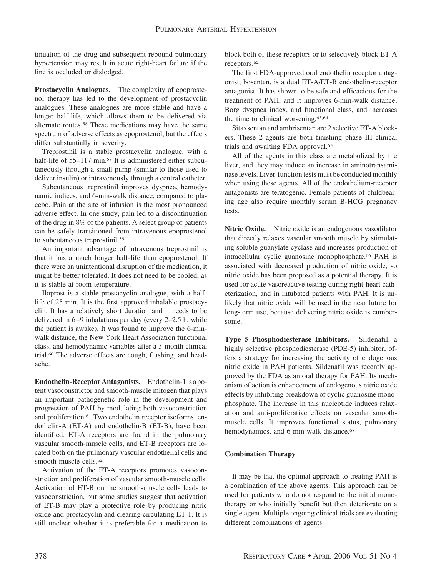tinuation of the drug and subsequent rebound pulmonary hypertension may result in acute right-heart failure if the line is occluded or dislodged.

**Prostacyclin Analogues.** The complexity of epoprostenol therapy has led to the development of prostacyclin analogues. These analogues are more stable and have a longer half-life, which allows them to be delivered via alternate routes.58 These medications may have the same spectrum of adverse effects as epoprostenol, but the effects differ substantially in severity.

Treprostinil is a stable prostacyclin analogue, with a half-life of 55–117 min.<sup>58</sup> It is administered either subcutaneously through a small pump (similar to those used to deliver insulin) or intravenously through a central catheter.

Subcutaneous treprostinil improves dyspnea, hemodynamic indices, and 6-min-walk distance, compared to placebo. Pain at the site of infusion is the most pronounced adverse effect. In one study, pain led to a discontinuation of the drug in 8% of the patients. A select group of patients can be safely transitioned from intravenous epoprostenol to subcutaneous treprostinil.59

An important advantage of intravenous treprostinil is that it has a much longer half-life than epoprostenol. If there were an unintentional disruption of the medication, it might be better tolerated. It does not need to be cooled, as it is stable at room temperature.

Iloprost is a stable prostacyclin analogue, with a halflife of 25 min. It is the first approved inhalable prostacyclin. It has a relatively short duration and it needs to be delivered in 6–9 inhalations per day (every 2–2.5 h, while the patient is awake). It was found to improve the 6-minwalk distance, the New York Heart Association functional class, and hemodynamic variables after a 3-month clinical trial.60 The adverse effects are cough, flushing, and headache.

**Endothelin-Receptor Antagonists.** Endothelin-1 is a potent vasoconstrictor and smooth-muscle mitogen that plays an important pathogenetic role in the development and progression of PAH by modulating both vasoconstriction and proliferation.<sup>61</sup> Two endothelin receptor isoforms, endothelin-A (ET-A) and endothelin-B (ET-B), have been identified. ET-A receptors are found in the pulmonary vascular smooth-muscle cells, and ET-B receptors are located both on the pulmonary vascular endothelial cells and smooth-muscle cells.<sup>62</sup>

Activation of the ET-A receptors promotes vasoconstriction and proliferation of vascular smooth-muscle cells. Activation of ET-B on the smooth-muscle cells leads to vasoconstriction, but some studies suggest that activation of ET-B may play a protective role by producing nitric oxide and prostacyclin and clearing circulating ET-1. It is still unclear whether it is preferable for a medication to block both of these receptors or to selectively block ET-A receptors.62

The first FDA-approved oral endothelin receptor antagonist, bosentan, is a dual ET-A/ET-B endothelin-receptor antagonist. It has shown to be safe and efficacious for the treatment of PAH, and it improves 6-min-walk distance, Borg dyspnea index, and functional class, and increases the time to clinical worsening.63,64

Sitaxsentan and ambrisentan are 2 selective ET-A blockers. These 2 agents are both finishing phase III clinical trials and awaiting FDA approval.65

All of the agents in this class are metabolized by the liver, and they may induce an increase in aminotransaminase levels. Liver-function tests must be conducted monthly when using these agents. All of the endothelium-receptor antagonists are teratogenic. Female patients of childbearing age also require monthly serum B-HCG pregnancy tests.

**Nitric Oxide.** Nitric oxide is an endogenous vasodilator that directly relaxes vascular smooth muscle by stimulating soluble guanylate cyclase and increases production of intracellular cyclic guanosine monophosphate.66 PAH is associated with decreased production of nitric oxide, so nitric oxide has been proposed as a potential therapy. It is used for acute vasoreactive testing during right-heart catheterization, and in intubated patients with PAH. It is unlikely that nitric oxide will be used in the near future for long-term use, because delivering nitric oxide is cumbersome.

**Type 5 Phosphodiesterase Inhibitors.** Sildenafil, a highly selective phosphodiesterase (PDE-5) inhibitor, offers a strategy for increasing the activity of endogenous nitric oxide in PAH patients. Sildenafil was recently approved by the FDA as an oral therapy for PAH. Its mechanism of action is enhancement of endogenous nitric oxide effects by inhibiting breakdown of cyclic guanosine monophosphate. The increase in this nucleotide induces relaxation and anti-proliferative effects on vascular smoothmuscle cells. It improves functional status, pulmonary hemodynamics, and 6-min-walk distance.<sup>67</sup>

# **Combination Therapy**

It may be that the optimal approach to treating PAH is a combination of the above agents. This approach can be used for patients who do not respond to the initial monotherapy or who initially benefit but then deteriorate on a single agent. Multiple ongoing clinical trials are evaluating different combinations of agents.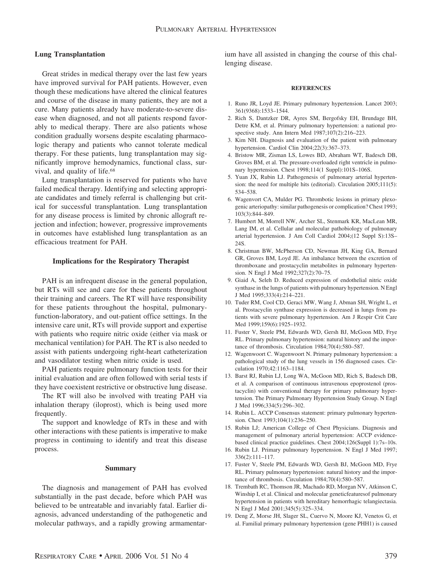## **Lung Transplantation**

Great strides in medical therapy over the last few years have improved survival for PAH patients. However, even though these medications have altered the clinical features and course of the disease in many patients, they are not a cure. Many patients already have moderate-to-severe disease when diagnosed, and not all patients respond favorably to medical therapy. There are also patients whose condition gradually worsens despite escalating pharmacologic therapy and patients who cannot tolerate medical therapy. For these patients, lung transplantation may significantly improve hemodynamics, functional class, survival, and quality of life.68

Lung transplantation is reserved for patients who have failed medical therapy. Identifying and selecting appropriate candidates and timely referral is challenging but critical for successful transplantation. Lung transplantation for any disease process is limited by chronic allograft rejection and infection; however, progressive improvements in outcomes have established lung transplantation as an efficacious treatment for PAH.

#### **Implications for the Respiratory Therapist**

PAH is an infrequent disease in the general population, but RTs will see and care for these patients throughout their training and careers. The RT will have responsibility for these patients throughout the hospital, pulmonaryfunction-laboratory, and out-patient office settings. In the intensive care unit, RTs will provide support and expertise with patients who require nitric oxide (either via mask or mechanical ventilation) for PAH. The RT is also needed to assist with patients undergoing right-heart catheterization and vasodilator testing when nitric oxide is used.

PAH patients require pulmonary function tests for their initial evaluation and are often followed with serial tests if they have coexistent restrictive or obstructive lung disease.

The RT will also be involved with treating PAH via inhalation therapy (iloprost), which is being used more frequently.

The support and knowledge of RTs in these and with other interactions with these patients is imperative to make progress in continuing to identify and treat this disease process.

#### **Summary**

The diagnosis and management of PAH has evolved substantially in the past decade, before which PAH was believed to be untreatable and invariably fatal. Earlier diagnosis, advanced understanding of the pathogenetic and molecular pathways, and a rapidly growing armamentarium have all assisted in changing the course of this challenging disease.

#### **REFERENCES**

- 1. Runo JR, Loyd JE. Primary pulmonary hypertension. Lancet 2003; 361(9368):1533–1544.
- 2. Rich S, Dantzker DR, Ayres SM, Bergofsky EH, Brundage BH, Detre KM, et al. Primary pulmonary hypertension: a national prospective study. Ann Intern Med 1987;107(2):216–223.
- 3. Kim NH. Diagnosis and evaluation of the patient with pulmonary hypertension. Cardiol Clin 2004;22(3):367–373.
- 4. Bristow MR, Zisman LS, Lowes BD, Abraham WT, Badesch DB, Groves BM, et al. The pressure-overloaded right ventricle in pulmonary hypertension. Chest 1998;114(1 Suppl):101S–106S.
- 5. Yuan JX, Rubin LJ. Pathogenesis of pulmonary arterial hypertension: the need for multiple hits (editorial). Circulation 2005;111(5): 534–538.
- 6. Wagenvort CA, Mulder PG. Thrombotic lesions in primary plexogenic arteriopathy: similar pathogenesis or complication? Chest 1993; 103(3):844–849.
- 7. Humbert M, Morrell NW, Archer SL, Stenmark KR, MacLean MR, Lang IM, et al. Cellular and molecular pathobiology of pulmonary arterial hypertension. J Am Coll Cardiol 2004;(12 Suppl S):13S– 24S.
- 8. Christman BW, McPherson CD, Newman JH, King GA, Bernard GR, Groves BM, Loyd JE. An imbalance between the excretion of thromboxane and prostacyclin metabolites in pulmonary hypertension. N Engl J Med 1992;327(2):70–75.
- 9. Giaid A, Seleh D. Reduced expression of endothelial nitric oxide synthase in the lungs of patients with pulmonary hypertension. N Engl J Med 1995;333(4):214–221.
- 10. Tuder RM, Cool CD, Geraci MW, Wang J, Abman SH, Wright L, et al. Prostacyclin synthase expression is decreased in lungs from patients with severe pulmonary hypertension. Am J Respir Crit Care Med 1999;159(6):1925–1932.
- 11. Fuster V, Steele PM, Edwards WD, Gersh BJ, McGoon MD, Frye RL. Primary pulmonary hypertension: natural history and the importance of thrombosis. Circulation 1984;70(4):580–587.
- 12. Wagenwoort C. Wagenwoort N. Primary pulmonary hypertension: a pathological study of the lung vessels in 156 diagnosed cases. Circulation 1970;42:1163–1184.
- 13. Barst RJ, Rubin LJ, Long WA, McGoon MD, Rich S, Badesch DB, et al. A comparison of continuous intravenous epoprostenol (prostacyclin) with conventional therapy for primary pulmonary hypertension. The Primary Pulmonary Hypertension Study Group. N Engl J Med 1996;334(5):296–302.
- 14. Rubin L. ACCP Consensus statement: primary pulmonary hypertension. Chest 1993;104(1):236–250.
- 15. Rubin LJ; American College of Chest Physicians. Diagnosis and management of pulmonary arterial hypertension: ACCP evidencebased clinical practice guidelines. Chest 2004;126(Suppl 1):7s–10s.
- 16. Rubin LJ. Primary pulmonary hypertension. N Engl J Med 1997; 336(2):111–117.
- 17. Fuster V, Steele PM, Edwards WD, Gersh BJ, McGoon MD, Frye RL. Primary pulmonary hypertension: natural history and the importance of thrombosis. Circulation 1984;70(4):580–587.
- 18. Trembath RC, Thomson JR, Machado RD, Morgan NV, Atkinson C, Winship I, et al. Clinical and molecular geneticfeaturesof pulmonary hypertension in patients with hereditary hemorrhagic telangiectasia. N Engl J Med 2001;345(5):325–334.
- 19. Deng Z, Morse JH, Slager SL, Cuervo N, Moore KJ, Venetos G, et al. Familial primary pulmonary hypertension (gene PHH1) is caused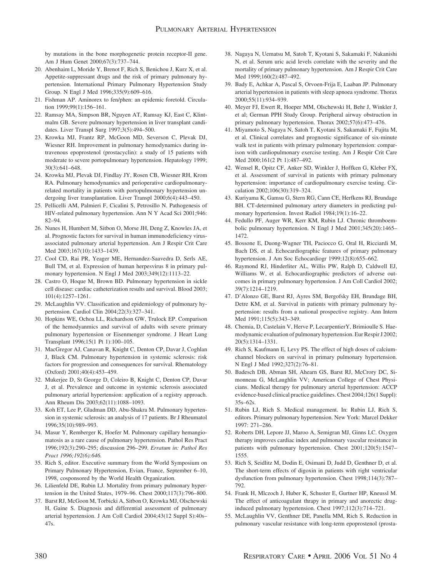by mutations in the bone morphogenetic protein receptor-II gene. Am J Hum Genet 2000;67(3):737–744.

- 20. Abenhaim L, Moride Y, Brenot F, Rich S, Benichou J, Kurz X, et al. Appetite-suppressant drugs and the risk of primary pulmonary hypertension. International Primary Pulmonary Hypertension Study Group. N Engl J Med 1996;335(9):609–616.
- 21. Fishman AP. Aminorex to fen/phen: an epidemic foretold. Circulation 1999;99(1):156–161.
- 22. Ramsay MA, Simpson BR, Nguyen AT, Ramsay KJ, East C, Klintmalm GB. Severe pulmonary hypertension in liver transplant candidates. Liver Transpl Surg 1997;3(5):494–500.
- 23. Krowka MJ, Frantz RP, McGoon MD, Severson C, Plevak DJ, Wiesner RH. Improvement in pulmonary hemodynamics during intravenous epoprostenol (prostacyclin): a study of 15 patients with moderate to severe portopulmonary hypertension. Hepatology 1999; 30(3):641–648.
- 24. Krowka MJ, Plevak DJ, Findlay JY, Rosen CB, Wiesner RH, Krom RA. Pulmonary hemodynamics and perioperative cardiopulmonaryrelated mortality in patients with portopulmonary hypertension undergoing liver transplantation. Liver Transpl 2000;6(4):443–450.
- 25. Pellicelli AM, Palmieri F, Cicalini S, Petrosillo N. Pathogenesis of HIV-related pulmonary hypertension. Ann N Y Acad Sci 2001;946: 82–94.
- 26. Nunes H, Humbert M, Sitbon O, Morse JH, Deng Z, Knowles JA, et al. Prognostic factors for survival in human immunodeficiency virusassociated pulmonary arterial hypertension. Am J Respir Crit Care Med 2003;167(10):1433–1439.
- 27. Cool CD, Rai PR, Yeager ME, Hernandez-Saavedra D, Serls AE, Bull TM, et al. Expression of human herpesvirus 8 in primary pulmonary hypertension. N Engl J Med 2003;349(12):1113–22.
- 28. Castro O, Hoque M, Brown BD. Pulmonary hypertension in sickle cell disease: cardiac catheterization results and survival. Blood 2003; 101(4):1257–1261.
- 29. McLaughlin VV. Classification and epidemiology of pulmonary hypertension. Cardiol Clin 2004;22(3):327–341.
- 30. Hopkins WE, Ochoa LL, Richardson GW, Trulock EP. Comparison of the hemodyanmics and survival of adults with severe primary pulmonary hypertension or Eisenmenger syndrome. J Heart Lung Transplant 1996;15(1 Pt 1):100–105.
- 31. MacGregor AJ, Canavan R, Knight C, Denton CP, Davar J, Coghlan J, Black CM. Pulmonary hypertension in systemic sclerosis: risk factors for progression and consequences for survival. Rhematology (Oxford) 2001;40(4):453–459.
- 32. Mukerjee D, St George D, Coleiro B, Knight C, Denton CP, Davar J, et al. Prevalence and outcome in systemic sclerosis associated pulmonary arterial hypertension: application of a registry approach. Ann Rheum Dis 2003;62(11):1088–1093.
- 33. Koh ET, Lee P, Gladman DD, Abu-Shakra M. Pulmonary hypertension in systemic sclerosis: an analysis of 17 patients. Br J Rheumatol 1996;35(10):989–993.
- 34. Masur Y, Remberger K, Hoefer M. Pulmonary capillary hemangiomatosis as a rare cause of pulmonary hypertension. Pathol Res Pract 1996;192(3):290–295; discussion 296–299. *Erratum in: Pathol Res Pract 1996;192(6):646.*
- 35. Rich S, editor. Executive summary from the World Symposium on Primary Pulmonary Hypertension, Evian, France, September 6–10, 1998, cosponsored by the World Health Organization.
- 36. Lilienfeld DE, Rubin LJ. Mortality from primary pulmonary hypertension in the United States, 1979–96. Chest 2000;117(3):796–800.
- 37. Barst RJ, McGoon M, Torbicki A, Sitbon O, Krowka MJ, Olschewski H, Gaine S. Diagnosis and differential assessment of pulmonary arterial hypertension. J Am Coll Cardiol 2004;43(12 Suppl S):40s– 47s.
- 38. Nagaya N, Uematsu M, Satoh T, Kyotani S, Sakamaki F, Nakanishi N, et al. Serum uric acid levels correlate with the severity and the mortality of primary pulmonary hypertension. Am J Respir Crit Care Med 1999;160(2):487–492.
- 39. Bady E, Achkar A, Pascal S, Orvoen-Frija E, Laaban JP. Pulmonary arterial hypertension in patients with sleep apnoea syndrome. Thorax 2000;55(11):934–939.
- 40. Meyer FJ, Ewert R, Hoeper MM, Olschewski H, Behr J, Winkler J, et al; German PPH Study Group. Peripheral airway obstruction in primary pulmonary hypertension. Thorax 2002;57(6):473–476.
- 41. Miyamoto S, Nagaya N, Satoh T, Kyotani S, Sakamaki F, Fujita M, et al. Clinical correlates and prognostic significance of six-minute walk test in patients with primary pulmonary hypertension: comparison with cardiopulmonary exercise testing. Am J Respir Crit Care Med 2000;161(2 Pt 1):487–492.
- 42. Wensel R, Opitz CF, Anker SD, Winkler J, Hoffken G, Kleber FX, et al. Assessment of survival in patients with primary pulmonary hypertension: importance of cardiopulmonary exercise testing. Circulation 2002;106(30):319–324.
- 43. Kuriyama K, Gamsu G, Stern RG, Cann CE, Herfkens RJ, Brundage BH. CT-determined pulmonary artery diameters in predicting pulmonary hypertension. Invest Radiol 1984;19(1):16–22.
- 44. Fedullo PF, Auger WR, Kerr KM, Rubin LJ. Chronic thromboembolic pulmonary hypertension. N Engl J Med 2001;345(20):1465– 1472.
- 45. Bossone E, Duong-Wagner TH, Paciocco G, Oral H, Ricciardi M, Bach DS, et al. Echocardiographic features of primary pulmonary hypertension. J Am Soc Echocardiogr 1999;12(8):655–662.
- 46. Raymond RJ, Hinderliter AL, Willis PW, Ralph D, Caldwell EJ, Williams W, et al. Echocardiographic predictors of adverse outcomes in primary pulmonary hypertension. J Am Coll Cardiol 2002; 39(7):1214–1219.
- 47. D'Alonzo GE, Barst RJ, Ayres SM, Bergofsky EH, Brundage BH, Detre KM, et al. Survival in patients with primary pulmonary hypertension: results from a national prospective registry. Ann Intern Med 1991;115(5):343-349.
- 48. Chemia, D, Castelain V, Herve P, LecarpentierY, Brimioulle S. Haemodynamic evaluation of pulmonary hypertension. Eur Respir J 2002; 20(5):1314–1331.
- 49. Rich S, Kaufmann E, Levy PS. The effect of high doses of calciumchannel blockers on survival in primary pulmonary hypertension. N Engl J Med 1992;327(2):76–81.
- 50. Badesch DB, Abman SH, Ahearn GS, Barst RJ, McCrory DC, Simonneau G, McLaughlin VV; American College of Chest Physicians. Medical therapy for pulmonary arterial hypertension: ACCP evidence-based clinical practice guidelines. Chest 2004;126(1 Suppl): 35s–62s.
- 51. Rubin LJ, Rich S. Medical management. In: Rubin LJ, Rich S, editors. Primary pulmonary hypertension. New York: Marcel Dekker 1997: 271–286.
- 52. Roberts DH, Lepore JJ, Maroo A, Semigran MJ, Ginns LC. Oxygen therapy improves cardiac index and pulmonary vascular resistance in patients with pulmonary hypertension. Chest 2001;120(5):1547– 1555.
- 53. Rich S, Seidlitz M, Dodin E, Osimani D, Judd D, Genthner D, et al. The short-term effects of digoxin in patients with right ventricular dysfunction from pulmonary hypertension. Chest 1998;114(3):787– 792.
- 54. Frank H, Mlczoch J, Huber K, Schuster E, Gurtner HP, Kneussl M. The effect of anticoagulant thrapy in primary and anorectic druginduced pulmonary hypertension. Chest 1997;112(3):714–721.
- 55. McLaughlin VV, Genthner DE, Panella MM, Rich S. Reduction in pulmonary vascular resistance with long-term epoprostenol (prosta-